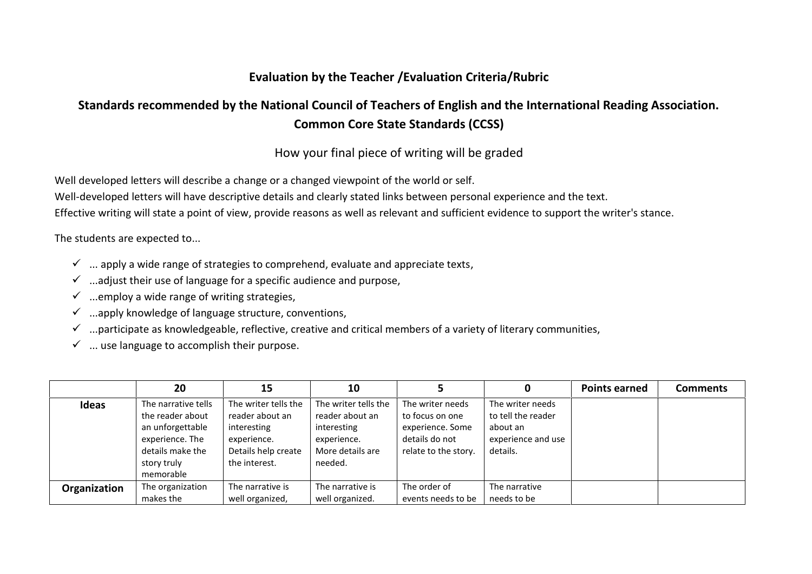## **Evaluation by the Teacher /Evaluation Criteria/Rubric**

## **Standards recommended by the National Council of Teachers of English and the International Reading Association. Common Core State Standards (CCSS)**

How your final piece of writing will be graded

Well developed letters will describe a change or a changed viewpoint of the world or self.

Well-developed letters will have descriptive details and clearly stated links between personal experience and the text.

Effective writing will state a point of view, provide reasons as well as relevant and sufficient evidence to support the writer's stance.

The students are expected to...

- $\checkmark$  ... apply a wide range of strategies to comprehend, evaluate and appreciate texts,
- $\checkmark$  ...adjust their use of language for a specific audience and purpose,
- $\checkmark$  ...employ a wide range of writing strategies,
- $\checkmark$  ...apply knowledge of language structure, conventions,
- $\checkmark$  ...participate as knowledgeable, reflective, creative and critical members of a variety of literary communities,
- $\checkmark$  ... use language to accomplish their purpose.

|              | 20                                                                                                                             | 15                                                                                                            | 10                                                                                                   |                                                                                                   | 0                                                                                    | <b>Points earned</b> | <b>Comments</b> |
|--------------|--------------------------------------------------------------------------------------------------------------------------------|---------------------------------------------------------------------------------------------------------------|------------------------------------------------------------------------------------------------------|---------------------------------------------------------------------------------------------------|--------------------------------------------------------------------------------------|----------------------|-----------------|
| Ideas        | The narrative tells<br>the reader about<br>an unforgettable<br>experience. The<br>details make the<br>story truly<br>memorable | The writer tells the<br>reader about an<br>interesting<br>experience.<br>Details help create<br>the interest. | The writer tells the<br>reader about an<br>interesting<br>experience.<br>More details are<br>needed. | The writer needs<br>to focus on one<br>experience. Some<br>details do not<br>relate to the story. | The writer needs<br>to tell the reader<br>about an<br>experience and use<br>details. |                      |                 |
| Organization | The organization                                                                                                               | The narrative is                                                                                              | The narrative is                                                                                     | The order of                                                                                      | The narrative                                                                        |                      |                 |
|              | makes the                                                                                                                      | well organized,                                                                                               | well organized.                                                                                      | events needs to be                                                                                | needs to be                                                                          |                      |                 |